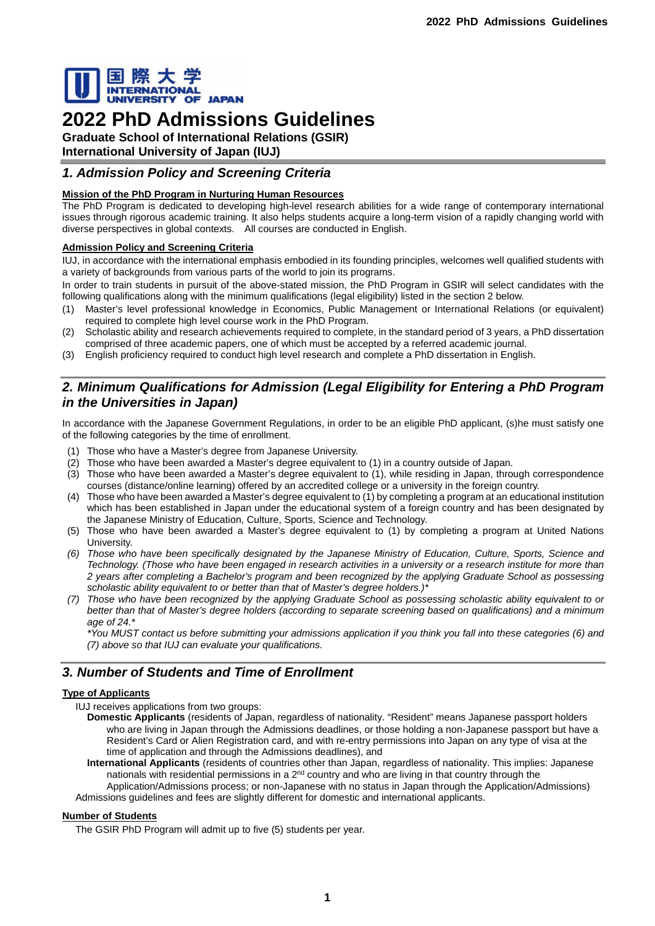

# **2022 PhD Admissions Guidelines**

**Graduate School of International Relations (GSIR) International University of Japan (IUJ)**

# *1. Admission Policy and Screening Criteria*

# **Mission of the PhD Program in Nurturing Human Resources**

The PhD Program is dedicated to developing high-level research abilities for a wide range of contemporary international issues through rigorous academic training. It also helps students acquire a long-term vision of a rapidly changing world with diverse perspectives in global contexts. All courses are conducted in English.

# **Admission Policy and Screening Criteria**

IUJ, in accordance with the international emphasis embodied in its founding principles, welcomes well qualified students with a variety of backgrounds from various parts of the world to join its programs.

In order to train students in pursuit of the above-stated mission, the PhD Program in GSIR will select candidates with the following qualifications along with the minimum qualifications (legal eligibility) listed in the section 2 below.

- (1) Master's level professional knowledge in Economics, Public Management or International Relations (or equivalent) required to complete high level course work in the PhD Program.
- (2) Scholastic ability and research achievements required to complete, in the standard period of 3 years, a PhD dissertation comprised of three academic papers, one of which must be accepted by a referred academic journal.
- (3) English proficiency required to conduct high level research and complete a PhD dissertation in English.

# *2. Minimum Qualifications for Admission (Legal Eligibility for Entering a PhD Program in the Universities in Japan)*

In accordance with the Japanese Government Regulations, in order to be an eligible PhD applicant, (s)he must satisfy one of the following categories by the time of enrollment.

- (1) Those who have a Master's degree from Japanese University.
- (2) Those who have been awarded a Master's degree equivalent to (1) in a country outside of Japan.
- (3) Those who have been awarded a Master's degree equivalent to (1), while residing in Japan, through correspondence courses (distance/online learning) offered by an accredited college or a university in the foreign country.
- (4) Those who have been awarded a Master's degree equivalent to (1) by completing a program at an educational institution which has been established in Japan under the educational system of a foreign country and has been designated by the Japanese Ministry of Education, Culture, Sports, Science and Technology.
- (5) Those who have been awarded a Master's degree equivalent to (1) by completing a program at United Nations University.
- *(6) Those who have been specifically designated by the Japanese Ministry of Education, Culture, Sports, Science and Technology. (Those who have been engaged in research activities in a university or a research institute for more than 2 years after completing a Bachelor's program and been recognized by the applying Graduate School as possessing scholastic ability equivalent to or better than that of Master's degree holders.)\**
- *(7) Those who have been recognized by the applying Graduate School as possessing scholastic ability equivalent to or better than that of Master's degree holders (according to separate screening based on qualifications) and a minimum age of 24.\**

*\*You MUST contact us before submitting your admissions application if you think you fall into these categories (6) and (7) above so that IUJ can evaluate your qualifications.* 

# *3. Number of Students and Time of Enrollment*

# **Type of Applicants**

IUJ receives applications from two groups:

- **Domestic Applicants** (residents of Japan, regardless of nationality. "Resident" means Japanese passport holders who are living in Japan through the Admissions deadlines, or those holding a non-Japanese passport but have a Resident's Card or Alien Registration card, and with re-entry permissions into Japan on any type of visa at the time of application and through the Admissions deadlines), and
- **International Applicants** (residents of countries other than Japan, regardless of nationality. This implies: Japanese nationals with residential permissions in a 2<sup>nd</sup> country and who are living in that country through the Application/Admissions process; or non-Japanese with no status in Japan through the Application/Admissions) Admissions guidelines and fees are slightly different for domestic and international applicants.

# **Number of Students**

The GSIR PhD Program will admit up to five (5) students per year.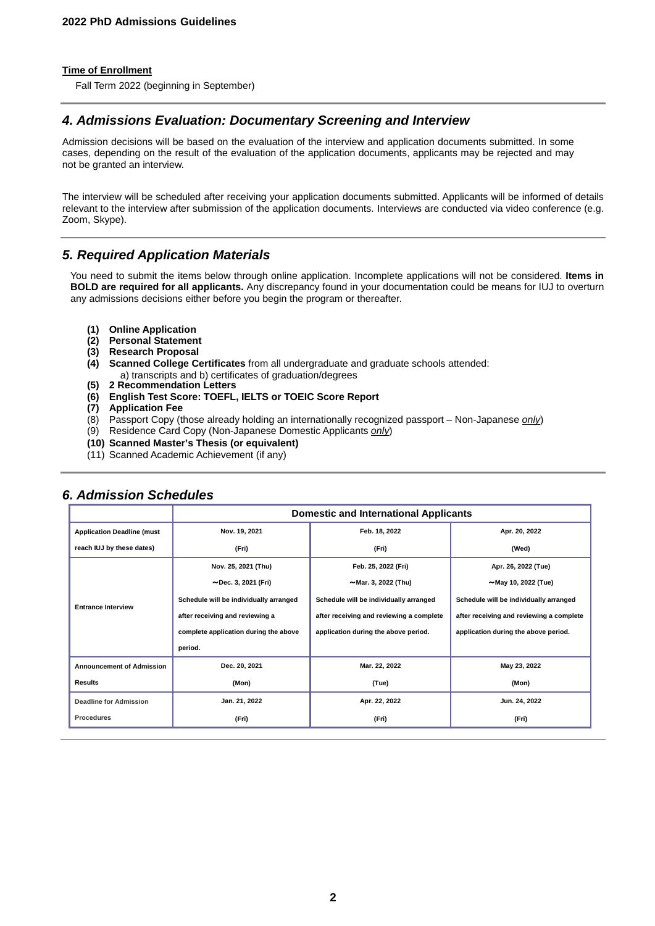### **Time of Enrollment**

Fall Term 2022 (beginning in September)

# *4. Admissions Evaluation: Documentary Screening and Interview*

Admission decisions will be based on the evaluation of the interview and application documents submitted. In some cases, depending on the result of the evaluation of the application documents, applicants may be rejected and may not be granted an interview.

The interview will be scheduled after receiving your application documents submitted. Applicants will be informed of details relevant to the interview after submission of the application documents. Interviews are conducted via video conference (e.g. Zoom, Skype).

# *5. Required Application Materials*

You need to submit the items below through online application. Incomplete applications will not be considered. **Items in BOLD are required for all applicants.** Any discrepancy found in your documentation could be means for IUJ to overturn any admissions decisions either before you begin the program or thereafter.

- **(1) Online Application**
- **(2) Personal Statement**
- **(3) Research Proposal**
- **(4) Scanned College Certificates** from all undergraduate and graduate schools attended: a) transcripts and b) certificates of graduation/degrees
- **(5) 2 Recommendation Letters**
- **(6) English Test Score: TOEFL, IELTS or TOEIC Score Report**
- **(7) Application Fee**
- (8) Passport Copy (those already holding an internationally recognized passport Non-Japanese *only*)
- (9) Residence Card Copy (Non-Japanese Domestic Applicants *only*)
- **(10) Scanned Master's Thesis (or equivalent)**
- (11) Scanned Academic Achievement (if any)

|                                   | <b>Domestic and International Applicants</b> |                                          |                                          |
|-----------------------------------|----------------------------------------------|------------------------------------------|------------------------------------------|
| <b>Application Deadline (must</b> | Nov. 19, 2021                                | Feb. 18, 2022                            | Apr. 20, 2022                            |
| reach IUJ by these dates)         | (Fri)                                        | (Fri)                                    | (Wed)                                    |
| <b>Entrance Interview</b>         | Nov. 25, 2021 (Thu)                          | Feb. 25, 2022 (Fri)                      | Apr. 26, 2022 (Tue)                      |
|                                   | $\sim$ Dec. 3, 2021 (Fri)                    | $~\sim$ Mar. 3, 2022 (Thu)               | $\sim$ May 10, 2022 (Tue)                |
|                                   | Schedule will be individually arranged       | Schedule will be individually arranged   | Schedule will be individually arranged   |
|                                   | after receiving and reviewing a              | after receiving and reviewing a complete | after receiving and reviewing a complete |
|                                   | complete application during the above        | application during the above period.     | application during the above period.     |
|                                   | period.                                      |                                          |                                          |
| <b>Announcement of Admission</b>  | Dec. 20, 2021                                | Mar. 22, 2022                            | May 23, 2022                             |
| <b>Results</b>                    | (Mon)                                        | (Tue)                                    | (Mon)                                    |
| <b>Deadline for Admission</b>     | Jan. 21, 2022                                | Apr. 22, 2022                            | Jun. 24, 2022                            |
| <b>Procedures</b>                 | (Fri)                                        | (Fri)                                    | (Fri)                                    |

# *6. Admission Schedules*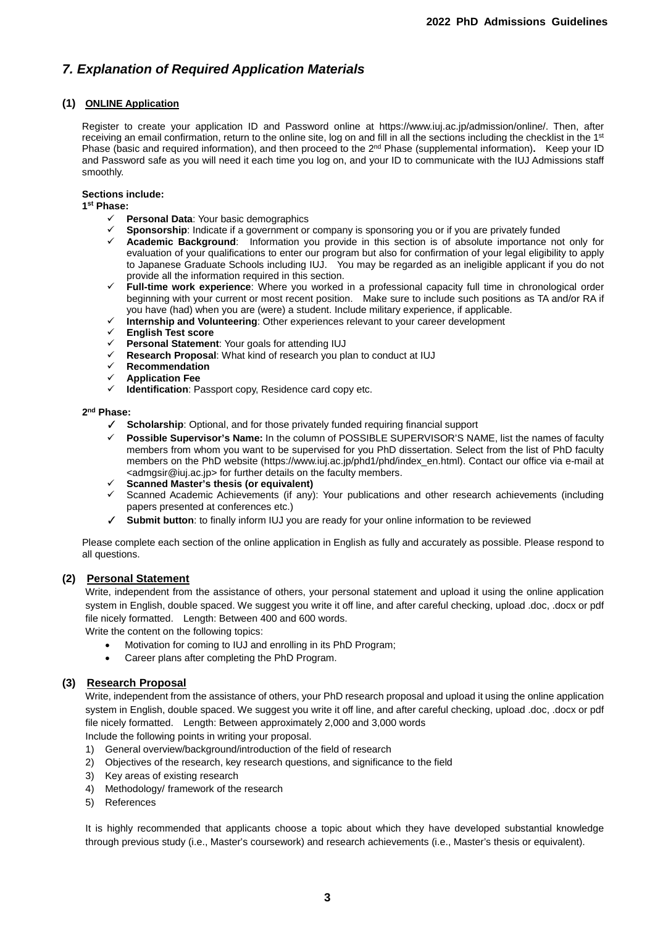# *7. Explanation of Required Application Materials*

# **(1) ONLINE Application**

Register to create your application ID and Password online at https://www.iuj.ac.jp/admission/online/. Then, after receiving an email confirmation, return to the online site, log on and fill in all the sections including the checklist in the 1<sup>st</sup> Phase (basic and required information), and then proceed to the 2<sup>nd</sup> Phase (supplemental information). Keep your ID and Password safe as you will need it each time you log on, and your ID to communicate with the IUJ Admissions staff smoothly.

# **Sections include:**

**1st Phase:**

- **Personal Data**: Your basic demographics
- **Sponsorship**: Indicate if a government or company is sponsoring you or if you are privately funded
- **Academic Background**: Information you provide in this section is of absolute importance not only for evaluation of your qualifications to enter our program but also for confirmation of your legal eligibility to apply to Japanese Graduate Schools including IUJ. You may be regarded as an ineligible applicant if you do not provide all the information required in this section.
- **Full-time work experience**: Where you worked in a professional capacity full time in chronological order beginning with your current or most recent position. Make sure to include such positions as TA and/or RA if you have (had) when you are (were) a student. Include military experience, if applicable.
- **Internship and Volunteering**: Other experiences relevant to your career development
- **English Test score**
- **Personal Statement**: Your goals for attending IUJ
- **Example 2** Research Proposal: What kind of research you plan to conduct at IUJ<br>
<del>
</del> *∠* Pecommendation
- **EXA** Recommendation<br>
<del>■</del> Anplication Fee
- **Application Fee**
- **Identification**: Passport copy, Residence card copy etc.

## **2nd Phase:**

- ✓ **Scholarship**: Optional, and for those privately funded requiring financial support
- **Possible Supervisor's Name:** In the column of POSSIBLE SUPERVISOR'S NAME, list the names of faculty members from whom you want to be supervised for you PhD dissertation. Select from the list of PhD faculty members on the PhD website (https://www.iuj.ac.jp/phd1/phd/index\_en.html). Contact our office via e-mail at <admgsir@iuj.ac.jp> for further details on the faculty members.
- **Scanned Master's thesis (or equivalent)**
- Scanned Academic Achievements (if any): Your publications and other research achievements (including papers presented at conferences etc.)
- ✓ **Submit button**: to finally inform IUJ you are ready for your online information to be reviewed

Please complete each section of the online application in English as fully and accurately as possible. Please respond to all questions.

# **(2) Personal Statement**

Write, independent from the assistance of others, your personal statement and upload it using the online application system in English, double spaced. We suggest you write it off line, and after careful checking, upload .doc, .docx or pdf file nicely formatted. Length: Between 400 and 600 words.

Write the content on the following topics:

- Motivation for coming to IUJ and enrolling in its PhD Program;
- Career plans after completing the PhD Program.

# **(3) Research Proposal**

Write, independent from the assistance of others, your PhD research proposal and upload it using the online application system in English, double spaced. We suggest you write it off line, and after careful checking, upload .doc, .docx or pdf file nicely formatted. Length: Between approximately 2,000 and 3,000 words

Include the following points in writing your proposal.

- 1) General overview/background/introduction of the field of research
- 2) Objectives of the research, key research questions, and significance to the field
- 3) Key areas of existing research
- 4) Methodology/ framework of the research
- 5) References

It is highly recommended that applicants choose a topic about which they have developed substantial knowledge through previous study (i.e., Master's coursework) and research achievements (i.e., Master's thesis or equivalent).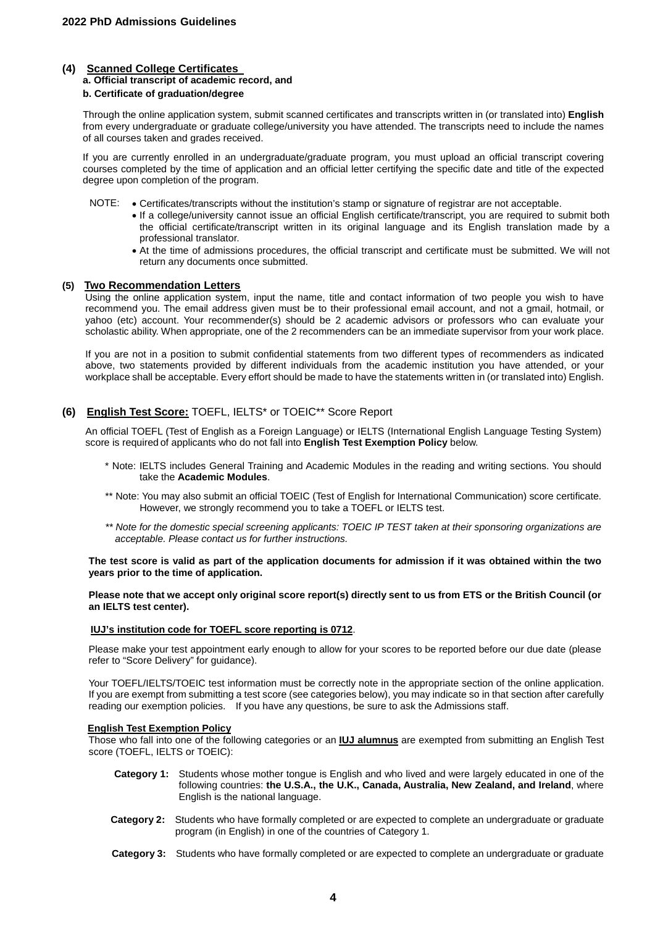## **(4) Scanned College Certificates**

# **a. Official transcript of academic record, and**

### **b. Certificate of graduation/degree**

Through the online application system, submit scanned certificates and transcripts written in (or translated into) **English** from every undergraduate or graduate college/university you have attended. The transcripts need to include the names of all courses taken and grades received.

If you are currently enrolled in an undergraduate/graduate program, you must upload an official transcript covering courses completed by the time of application and an official letter certifying the specific date and title of the expected degree upon completion of the program.

- NOTE: Certificates/transcripts without the institution's stamp or signature of registrar are not acceptable.
	- If a college/university cannot issue an official English certificate/transcript, you are required to submit both the official certificate/transcript written in its original language and its English translation made by a professional translator.
	- At the time of admissions procedures, the official transcript and certificate must be submitted. We will not return any documents once submitted.

### **(5) Two Recommendation Letters**

Using the online application system, input the name, title and contact information of two people you wish to have recommend you. The email address given must be to their professional email account, and not a gmail, hotmail, or yahoo (etc) account. Your recommender(s) should be 2 academic advisors or professors who can evaluate your scholastic ability. When appropriate, one of the 2 recommenders can be an immediate supervisor from your work place.

If you are not in a position to submit confidential statements from two different types of recommenders as indicated above, two statements provided by different individuals from the academic institution you have attended, or your workplace shall be acceptable. Every effort should be made to have the statements written in (or translated into) English.

# **(6) English Test Score:** TOEFL, IELTS\* or TOEIC\*\* Score Report

An official TOEFL (Test of English as a Foreign Language) or IELTS (International English Language Testing System) score is required of applicants who do not fall into **English Test Exemption Policy** below.

- \* Note: IELTS includes General Training and Academic Modules in the reading and writing sections. You should take the **Academic Modules**.
- \*\* Note: You may also submit an official TOEIC (Test of English for International Communication) score certificate. However, we strongly recommend you to take a TOEFL or IELTS test.
- *\*\* Note for the domestic special screening applicants: TOEIC IP TEST taken at their sponsoring organizations are acceptable. Please contact us for further instructions.*

#### **The test score is valid as part of the application documents for admission if it was obtained within the two years prior to the time of application.**

**Please note that we accept only original score report(s) directly sent to us from ETS or the British Council (or an IELTS test center).**

#### **IUJ's institution code for TOEFL score reporting is 0712**.

Please make your test appointment early enough to allow for your scores to be reported before our due date (please refer to "Score Delivery" for guidance).

Your TOEFL/IELTS/TOEIC test information must be correctly note in the appropriate section of the online application. If you are exempt from submitting a test score (see categories below), you may indicate so in that section after carefully reading our exemption policies. If you have any questions, be sure to ask the Admissions staff.

### **English Test Exemption Policy**

Those who fall into one of the following categories or an **IUJ alumnus** are exempted from submitting an English Test score (TOEFL, IELTS or TOEIC):

- **Category 1:** Students whose mother tongue is English and who lived and were largely educated in one of the following countries: **the U.S.A., the U.K., Canada, Australia, New Zealand, and Ireland**, where English is the national language.
- **Category 2:** Students who have formally completed or are expected to complete an undergraduate or graduate program (in English) in one of the countries of Category 1.
- **Category 3:** Students who have formally completed or are expected to complete an undergraduate or graduate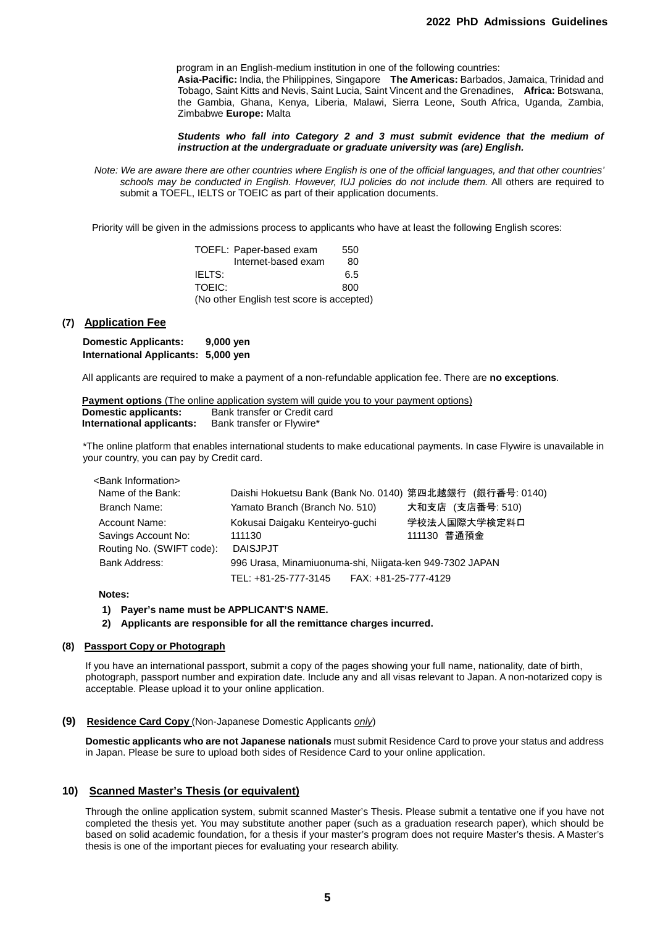program in an English-medium institution in one of the following countries: **Asia-Pacific:** India, the Philippines, Singapore **The Americas:** Barbados, Jamaica, Trinidad and Tobago, Saint Kitts and Nevis, Saint Lucia, Saint Vincent and the Grenadines, **Africa:** Botswana, the Gambia, Ghana, Kenya, Liberia, Malawi, Sierra Leone, South Africa, Uganda, Zambia, Zimbabwe **Europe:** Malta

*Students who fall into Category 2 and 3 must submit evidence that the medium of instruction at the undergraduate or graduate university was (are) English.*

*Note: We are aware there are other countries where English is one of the official languages, and that other countries' schools may be conducted in English. However, IUJ policies do not include them.* All others are required to submit a TOEFL, IELTS or TOEIC as part of their application documents.

Priority will be given in the admissions process to applicants who have at least the following English scores:

|                                           | TOEFL: Paper-based exam | 550 |
|-------------------------------------------|-------------------------|-----|
|                                           | Internet-based exam     | 80  |
| IELTS:                                    |                         | 6.5 |
| TOFIC:                                    |                         | 800 |
| (No other English test score is accepted) |                         |     |

### **(7) Application Fee**

**Domestic Applicants: 9,000 yen International Applicants: 5,000 yen**

All applicants are required to make a payment of a non-refundable application fee. There are **no exceptions**.

|                             | <b>Payment options</b> (The online application system will quide you to your payment options) |
|-----------------------------|-----------------------------------------------------------------------------------------------|
| <b>Domestic applicants:</b> | Bank transfer or Credit card                                                                  |
| International applicants:   | Bank transfer or Flywire*                                                                     |

\*The online platform that enables international students to make educational payments. In case Flywire is unavailable in your country, you can pay by Credit card.

| <bank information=""></bank> |                                                          |                  |
|------------------------------|----------------------------------------------------------|------------------|
| Name of the Bank:            | Daishi Hokuetsu Bank (Bank No. 0140) 第四北越銀行 (銀行番号: 0140) |                  |
| Branch Name:                 | Yamato Branch (Branch No. 510)                           | 大和支店 (支店番号: 510) |
| Account Name:                | Kokusai Daigaku Kenteiryo-guchi                          | 学校法人国際大学検定料口     |
| Savings Account No:          | 111130                                                   | 111130 普通預金      |
| Routing No. (SWIFT code):    | <b>DAISJPJT</b>                                          |                  |
| <b>Bank Address:</b>         | 996 Urasa, Minamiuonuma-shi, Niigata-ken 949-7302 JAPAN  |                  |
|                              | FAX: +81-25-777-4129<br>TEL: +81-25-777-3145             |                  |

#### **Notes:**

#### **1) Payer's name must be APPLICANT'S NAME.**

**2) Applicants are responsible for all the remittance charges incurred.**

#### **(8) Passport Copy or Photograph**

If you have an international passport, submit a copy of the pages showing your full name, nationality, date of birth, photograph, passport number and expiration date. Include any and all visas relevant to Japan. A non-notarized copy is acceptable. Please upload it to your online application.

#### **(9) Residence Card Copy** (Non-Japanese Domestic Applicants *only*)

**Domestic applicants who are not Japanese nationals** must submit Residence Card to prove your status and address in Japan. Please be sure to upload both sides of Residence Card to your online application.

### **10) Scanned Master's Thesis (or equivalent)**

Through the online application system, submit scanned Master's Thesis. Please submit a tentative one if you have not completed the thesis yet. You may substitute another paper (such as a graduation research paper), which should be based on solid academic foundation, for a thesis if your master's program does not require Master's thesis. A Master's thesis is one of the important pieces for evaluating your research ability.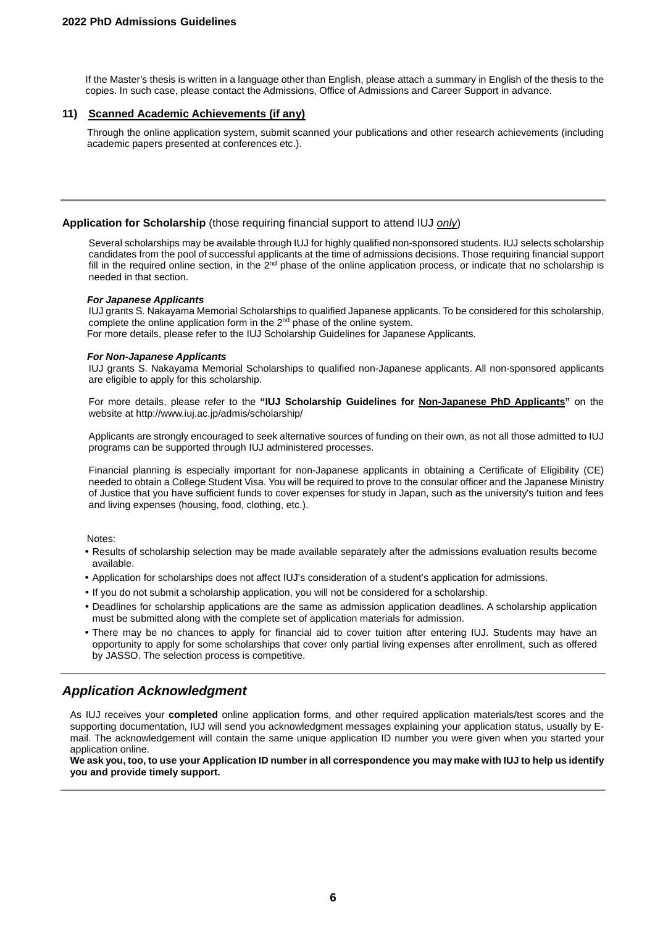If the Master's thesis is written in a language other than English, please attach a summary in English of the thesis to the copies. In such case, please contact the Admissions, Office of Admissions and Career Support in advance.

# **11) Scanned Academic Achievements (if any)**

 Through the online application system, submit scanned your publications and other research achievements (including academic papers presented at conferences etc.).

# **Application for Scholarship** (those requiring financial support to attend IUJ *only*)

Several scholarships may be available through IUJ for highly qualified non-sponsored students. IUJ selects scholarship candidates from the pool of successful applicants at the time of admissions decisions. Those requiring financial support fill in the required online section, in the  $2^{nd}$  phase of the online application process, or indicate that no scholarship is needed in that section.

#### *For Japanese Applicants*

IUJ grants S. Nakayama Memorial Scholarships to qualified Japanese applicants. To be considered for this scholarship, complete the online application form in the 2<sup>nd</sup> phase of the online system. For more details, please refer to the IUJ Scholarship Guidelines for Japanese Applicants.

#### *For Non-Japanese Applicants*

IUJ grants S. Nakayama Memorial Scholarships to qualified non-Japanese applicants. All non-sponsored applicants are eligible to apply for this scholarship.

For more details, please refer to the **"IUJ Scholarship Guidelines for Non-Japanese PhD Applicants"** on the website at http://www.iuj.ac.jp/admis/scholarship/

Applicants are strongly encouraged to seek alternative sources of funding on their own, as not all those admitted to IUJ programs can be supported through IUJ administered processes.

Financial planning is especially important for non-Japanese applicants in obtaining a Certificate of Eligibility (CE) needed to obtain a College Student Visa. You will be required to prove to the consular officer and the Japanese Ministry of Justice that you have sufficient funds to cover expenses for study in Japan, such as the university's tuition and fees and living expenses (housing, food, clothing, etc.).

#### Notes:

- Results of scholarship selection may be made available separately after the admissions evaluation results become available.
- Application for scholarships does not affect IUJ's consideration of a student's application for admissions.
- If you do not submit a scholarship application, you will not be considered for a scholarship.
- Deadlines for scholarship applications are the same as admission application deadlines. A scholarship application must be submitted along with the complete set of application materials for admission.
- There may be no chances to apply for financial aid to cover tuition after entering IUJ. Students may have an opportunity to apply for some scholarships that cover only partial living expenses after enrollment, such as offered by JASSO. The selection process is competitive.

# *Application Acknowledgment*

As IUJ receives your **completed** online application forms, and other required application materials/test scores and the supporting documentation, IUJ will send you acknowledgment messages explaining your application status, usually by Email. The acknowledgement will contain the same unique application ID number you were given when you started your application online.

**We ask you, too, to use your Application ID number in all correspondence you may make with IUJ to help us identify you and provide timely support.**